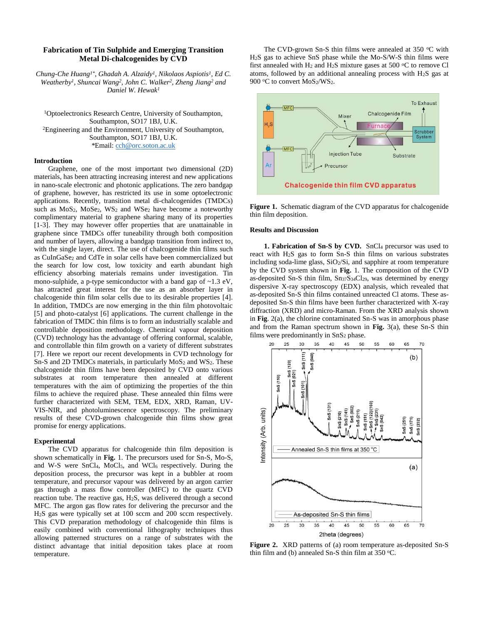# **Fabrication of Tin Sulphide and Emerging Transition Metal Di-chalcogenides by CVD**

*Chung-Che Huang1\* , Ghadah A. Alzaidy<sup>1</sup> , Nikolaos Aspiotis<sup>1</sup> , Ed C. Weatherby<sup>1</sup>, Shuncai Wang<sup>2</sup>, John C. Walker<sup>2</sup>, Zheng Jiang<sup>2</sup> and Daniel W. Hewak<sup>1</sup>*

<sup>1</sup>Optoelectronics Research Centre, University of Southampton, Southampton, SO17 1BJ, U.K. <sup>2</sup>Engineering and the Environment, University of Southampton, Southampton, SO17 1BJ, U.K. \*Email[: cch@orc.soton.ac.uk](mailto:cch@orc.soton.ac.uk)

## **Introduction**

Graphene, one of the most important two dimensional (2D) materials, has been attracting increasing interest and new applications in nano-scale electronic and photonic applications. The zero bandgap of graphene, however, has restricted its use in some optoelectronic applications. Recently, transition metal di-chalcogenides (TMDCs) such as MoS<sub>2</sub>, MoSe<sub>2</sub>, WS<sub>2</sub> and WSe<sub>2</sub> have become a noteworthy complimentary material to graphene sharing many of its properties [1-3]. They may however offer properties that are unattainable in graphene since TMDCs offer tuneability through both composition and number of layers, allowing a bandgap transition from indirect to, with the single layer, direct. The use of chalcogenide thin films such as CuInGaSe<sup>2</sup> and CdTe in solar cells have been commercialized but the search for low cost, low toxicity and earth abundant high efficiency absorbing materials remains under investigation. Tin mono-sulphide, a p-type semiconductor with a band gap of ~1.3 eV, has attracted great interest for the use as an absorber layer in chalcogenide thin film solar cells due to its desirable properties [4]. In addition, TMDCs are now emerging in the thin film photovoltaic [5] and photo-catalyst [6] applications. The current challenge in the fabrication of TMDC thin films is to form an industrially scalable and controllable deposition methodology. Chemical vapour deposition (CVD) technology has the advantage of offering conformal, scalable, and controllable thin film growth on a variety of different substrates [7]. Here we report our recent developments in CVD technology for Sn-S and 2D TMDCs materials, in particularly  $MoS<sub>2</sub>$  and  $WS<sub>2</sub>$ . These chalcogenide thin films have been deposited by CVD onto various substrates at room temperature then annealed at different temperatures with the aim of optimizing the properties of the thin films to achieve the required phase. These annealed thin films were further characterized with SEM, TEM, EDX, XRD, Raman, UV-VIS-NIR, and photoluminescence spectroscopy. The preliminary results of these CVD-grown chalcogenide thin films show great promise for energy applications.

### **Experimental**

The CVD apparatus for chalcogenide thin film deposition is shown schematically in **Fig.** 1. The precursors used for Sn-S, Mo-S, and W-S were SnCl4, MoCl5, and WCl<sup>6</sup> respectively. During the deposition process, the precursor was kept in a bubbler at room temperature, and precursor vapour was delivered by an argon carrier gas through a mass flow controller (MFC) to the quartz CVD reaction tube. The reactive gas, H2S, was delivered through a second MFC. The argon gas flow rates for delivering the precursor and the H2S gas were typically set at 100 sccm and 200 sccm respectively. This CVD preparation methodology of chalcogenide thin films is easily combined with conventional lithography techniques thus allowing patterned structures on a range of substrates with the distinct advantage that initial deposition takes place at room temperature.

The CVD-grown Sn-S thin films were annealed at  $350$  °C with H2S gas to achieve SnS phase while the Mo-S/W-S thin films were first annealed with  $H_2$  and  $H_2S$  mixture gases at 500 °C to remove Cl atoms, followed by an additional annealing process with H2S gas at 900 °C to convert MoS<sub>2</sub>/WS<sub>2</sub>.



**Figure 1.** Schematic diagram of the CVD apparatus for chalcogenide thin film deposition.

#### **Results and Discussion**

**1. Fabrication of Sn-S by CVD.** SnCl<sup>4</sup> precursor was used to react with H2S gas to form Sn-S thin films on various substrates including soda-lime glass,  $SiO<sub>2</sub>/Si$ , and sapphire at room temperature by the CVD system shown in **Fig.** 1. The composition of the CVD as-deposited Sn-S thin film, Sn<sub>37</sub>S<sub>34</sub>Cl<sub>29</sub>, was determined by energy dispersive X-ray spectroscopy (EDX) analysis, which revealed that as-deposited Sn-S thin films contained unreacted Cl atoms. These asdeposited Sn-S thin films have been further characterized with X-ray diffraction (XRD) and micro-Raman. From the XRD analysis shown in **Fig**. 2(a), the chlorine contaminated Sn-S was in amorphous phase and from the Raman spectrum shown in **Fig.** 3(a), these Sn-S thin films were predominantly in SnS<sub>2</sub> phase.



**Figure 2.** XRD patterns of (a) room temperature as-deposited Sn-S thin film and (b) annealed Sn-S thin film at  $350$  °C.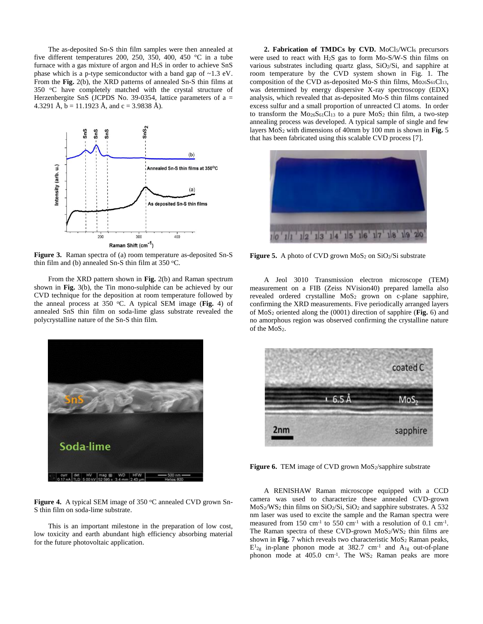The as-deposited Sn-S thin film samples were then annealed at five different temperatures 200, 250, 350, 400, 450 °C in a tube furnace with a gas mixture of argon and H2S in order to achieve SnS phase which is a p-type semiconductor with a band gap of ~1.3 eV. From the **Fig.** 2(b), the XRD patterns of annealed Sn-S thin films at 350 °C have completely matched with the crystal structure of Herzenbergite SnS (JCPDS No. 39-0354, lattice parameters of  $a =$ 4.3291 Å,  $b = 11.1923$  Å, and  $c = 3.9838$  Å).



**Figure 3.** Raman spectra of (a) room temperature as-deposited Sn-S thin film and (b) annealed Sn-S thin film at  $350$  °C.

From the XRD pattern shown in **Fig.** 2(b) and Raman spectrum shown in **Fig.** 3(b), the Tin mono-sulphide can be achieved by our CVD technique for the deposition at room temperature followed by the anneal process at 350  $\degree$ C. A typical SEM image (Fig. 4) of annealed SnS thin film on soda-lime glass substrate revealed the polycrystalline nature of the Sn-S thin film.



Figure 4. A typical SEM image of 350 °C annealed CVD grown Sn-S thin film on soda-lime substrate.

This is an important milestone in the preparation of low cost, low toxicity and earth abundant high efficiency absorbing material for the future photovoltaic application.

**2. Fabrication of TMDCs by CVD.** MoCl5/WCl<sup>6</sup> precursors were used to react with H2S gas to form Mo-S/W-S thin films on various substrates including quartz glass, SiO2/Si, and sapphire at room temperature by the CVD system shown in Fig. 1. The composition of the CVD as-deposited Mo-S thin films,  $M_{0.26}S_{61}Cl_{13}$ , was determined by energy dispersive X-ray spectroscopy (EDX) analysis, which revealed that as-deposited Mo-S thin films contained excess sulfur and a small proportion of unreacted Cl atoms. In order to transform the  $Mo_{26}S_{61}Cl_{13}$  to a pure  $MoS_2$  thin film, a two-step annealing process was developed. A typical sample of single and few layers MoS<sup>2</sup> with dimensions of 40mm by 100 mm is shown in **Fig.** 5 that has been fabricated using this scalable CVD process [7].



Figure 5. A photo of CVD grown MoS<sub>2</sub> on SiO<sub>2</sub>/Si substrate

A Jeol 3010 Transmission electron microscope (TEM) measurement on a FIB (Zeiss NVision40) prepared lamella also revealed ordered crystalline MoS<sup>2</sup> grown on c-plane sapphire, confirming the XRD measurements. Five periodically arranged layers of MoS<sup>2</sup> oriented along the (0001) direction of sapphire (**Fig.** 6) and no amorphous region was observed confirming the crystalline nature of the MoS<sub>2</sub>.



Figure 6. TEM image of CVD grown MoS<sub>2</sub>/sapphire substrate

A RENISHAW Raman microscope equipped with a CCD camera was used to characterize these annealed CVD-grown MoS2/WS<sup>2</sup> thin films on SiO2/Si, SiO<sup>2</sup> and sapphire substrates. A 532 nm laser was used to excite the sample and the Raman spectra were measured from 150 cm<sup>-1</sup> to 550 cm<sup>-1</sup> with a resolution of 0.1 cm<sup>-1</sup>. The Raman spectra of these CVD-grown MoS2/WS2 thin films are shown in Fig. 7 which reveals two characteristic MoS<sub>2</sub> Raman peaks,  $E^{1}_{2g}$  in-plane phonon mode at 382.7 cm<sup>-1</sup> and  $A_{1g}$  out-of-plane phonon mode at 405.0 cm<sup>-1</sup>. The WS<sub>2</sub> Raman peaks are more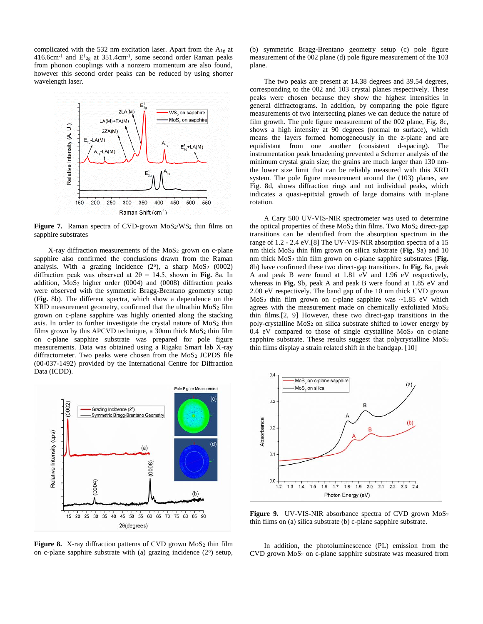complicated with the 532 nm excitation laser. Apart from the  $A_{1g}$  at  $416.6$ cm<sup>-1</sup> and  $E_{2g}$  at 351.4cm<sup>-1</sup>, some second order Raman peaks from phonon couplings with a nonzero momentum are also found, however this second order peaks can be reduced by using shorter wavelength laser.



**Figure 7.** Raman spectra of CVD-grown MoS<sub>2</sub>/WS<sub>2</sub> thin films on sapphire substrates

X-ray diffraction measurements of the MoS<sub>2</sub> grown on c-plane sapphire also confirmed the conclusions drawn from the Raman analysis. With a grazing incidence  $(2^{\circ})$ , a sharp  $MoS<sub>2</sub>$   $(0002)$ diffraction peak was observed at  $2\theta = 14.5$ , shown in **Fig.** 8a. In addition,  $MoS<sub>2</sub>$  higher order (0004) and (0008) diffraction peaks were observed with the symmetric Bragg-Brentano geometry setup (**Fig.** 8b). The different spectra, which show a dependence on the  $XRD$  measurement geometry, confirmed that the ultrathin  $MoS<sub>2</sub>$  film grown on c-plane sapphire was highly oriented along the stacking axis. In order to further investigate the crystal nature of  $MoS<sub>2</sub>$  thin films grown by this APCVD technique, a 30nm thick  $MoS<sub>2</sub>$  thin film on c-plane sapphire substrate was prepared for pole figure measurements. Data was obtained using a Rigaku Smart lab X-ray diffractometer. Two peaks were chosen from the MoS<sub>2</sub> JCPDS file (00-037-1492) provided by the International Centre for Diffraction Data (ICDD).



Figure 8. X-ray diffraction patterns of CVD grown MoS<sub>2</sub> thin film on c-plane sapphire substrate with (a) grazing incidence  $(2^{\circ})$  setup,

(b) symmetric Bragg-Brentano geometry setup (c) pole figure measurement of the 002 plane (d) pole figure measurement of the 103 plane.

The two peaks are present at 14.38 degrees and 39.54 degrees, corresponding to the 002 and 103 crystal planes respectively. These peaks were chosen because they show the highest intensities in general diffractograms. In addition, by comparing the pole figure measurements of two intersecting planes we can deduce the nature of film growth. The pole figure measurement of the 002 plane, Fig. 8c, shows a high intensity at 90 degrees (normal to surface), which means the layers formed homogeneously in the z-plane and are equidistant from one another (consistent d-spacing). The instrumentation peak broadening prevented a Scherrer analysis of the minimum crystal grain size; the grains are much larger than 130 nmthe lower size limit that can be reliably measured with this XRD system. The pole figure measurement around the (103) planes, see Fig. 8d, shows diffraction rings and not individual peaks, which indicates a quasi-epitxial growth of large domains with in-plane rotation.

A Cary 500 UV-VIS-NIR spectrometer was used to determine the optical properties of these  $MoS<sub>2</sub>$  thin films. Two  $MoS<sub>2</sub>$  direct-gap transitions can be identified from the absorption spectrum in the range of 1.2 - 2.4 eV.[8] The UV-VIS-NIR absorption spectra of a 15 nm thick MoS<sup>2</sup> thin film grown on silica substrate (**Fig.** 9a) and 10 nm thick MoS<sup>2</sup> thin film grown on c-plane sapphire substrates (**Fig.** 8b) have confirmed these two direct-gap transitions. In **Fig.** 8a, peak A and peak B were found at 1.81 eV and 1.96 eV respectively, whereas in **Fig.** 9b, peak A and peak B were found at 1.85 eV and 2.00 eV respectively. The band gap of the 10 nm thick CVD grown  $MoS<sub>2</sub>$  thin film grown on c-plane sapphire was  $~1.85$  eV which agrees with the measurement made on chemically exfoliated MoS<sub>2</sub> thin films.[2, 9] However, these two direct-gap transitions in the poly-crystalline MoS<sup>2</sup> on silica substrate shifted to lower energy by  $0.4$  eV compared to those of single crystalline MoS<sub>2</sub> on c-plane sapphire substrate. These results suggest that polycrystalline  $MoS<sub>2</sub>$ thin films display a strain related shift in the bandgap. [10]



Figure 9. UV-VIS-NIR absorbance spectra of CVD grown MoS<sub>2</sub> thin films on (a) silica substrate (b) c-plane sapphire substrate.

In addition, the photoluminescence (PL) emission from the CVD grown MoS<sup>2</sup> on c-plane sapphire substrate was measured from